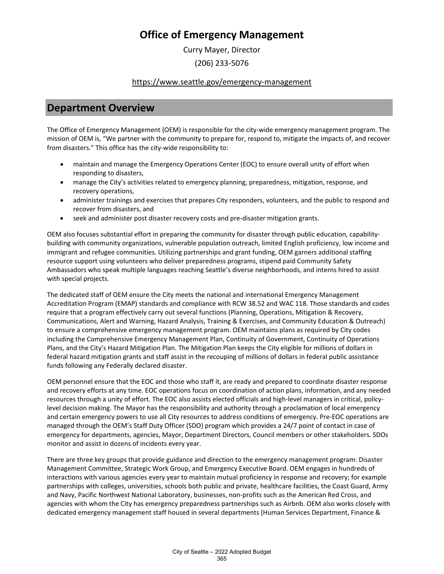Curry Mayer, Director

### (206) 233-5076

#### <https://www.seattle.gov/emergency-management>

### **Department Overview**

The Office of Emergency Management (OEM) is responsible for the city-wide emergency management program. The mission of OEM is, "We partner with the community to prepare for, respond to, mitigate the impacts of, and recover from disasters." This office has the city-wide responsibility to:

- maintain and manage the Emergency Operations Center (EOC) to ensure overall unity of effort when responding to disasters,
- manage the City's activities related to emergency planning, preparedness, mitigation, response, and recovery operations,
- administer trainings and exercises that prepares City responders, volunteers, and the public to respond and recover from disasters, and
- seek and administer post disaster recovery costs and pre-disaster mitigation grants.

OEM also focuses substantial effort in preparing the community for disaster through public education, capabilitybuilding with community organizations, vulnerable population outreach, limited English proficiency, low income and immigrant and refugee communities. Utilizing partnerships and grant funding, OEM garners additional staffing resource support using volunteers who deliver preparedness programs, stipend paid Community Safety Ambassadors who speak multiple languages reaching Seattle's diverse neighborhoods, and interns hired to assist with special projects.

The dedicated staff of OEM ensure the City meets the national and international Emergency Management Accreditation Program (EMAP) standards and compliance with RCW 38.52 and WAC 118. Those standards and codes require that a program effectively carry out several functions (Planning, Operations, Mitigation & Recovery, Communications, Alert and Warning, Hazard Analysis, Training & Exercises, and Community Education & Outreach) to ensure a comprehensive emergency management program. OEM maintains plans as required by City codes including the Comprehensive Emergency Management Plan, Continuity of Government, Continuity of Operations Plans, and the City's Hazard Mitigation Plan. The Mitigation Plan keeps the City eligible for millions of dollars in federal hazard mitigation grants and staff assist in the recouping of millions of dollars in federal public assistance funds following any Federally declared disaster.

OEM personnel ensure that the EOC and those who staff it, are ready and prepared to coordinate disaster response and recovery efforts at any time. EOC operations focus on coordination of action plans, information, and any needed resources through a unity of effort. The EOC also assists elected officials and high-level managers in critical, policylevel decision making. The Mayor has the responsibility and authority through a proclamation of local emergency and certain emergency powers to use all City resources to address conditions of emergency. Pre-EOC operations are managed through the OEM's Staff Duty Officer (SDO) program which provides a 24/7 point of contact in case of emergency for departments, agencies, Mayor, Department Directors, Council members or other stakeholders. SDOs monitor and assist in dozens of incidents every year.

There are three key groups that provide guidance and direction to the emergency management program: Disaster Management Committee, Strategic Work Group, and Emergency Executive Board. OEM engages in hundreds of interactions with various agencies every year to maintain mutual proficiency in response and recovery; for example partnerships with colleges, universities, schools both public and private, healthcare facilities, the Coast Guard, Army and Navy, Pacific Northwest National Laboratory, businesses, non-profits such as the American Red Cross, and agencies with whom the City has emergency preparedness partnerships such as Airbnb. OEM also works closely with dedicated emergency management staff housed in several departments (Human Services Department, Finance &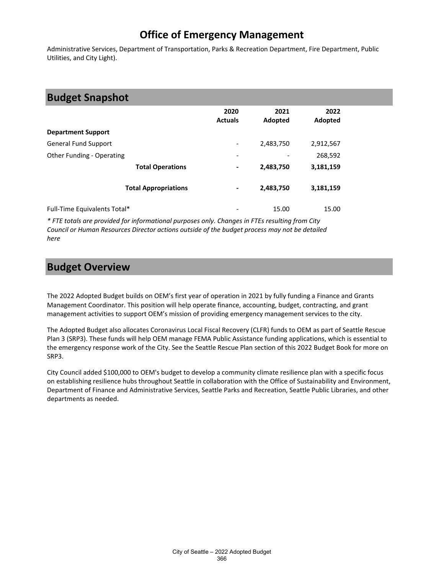Administrative Services, Department of Transportation, Parks & Recreation Department, Fire Department, Public Utilities, and City Light).

### **Budget Snapshot**

|                              | 2020<br><b>Actuals</b>   | 2021<br>Adopted | 2022<br>Adopted |
|------------------------------|--------------------------|-----------------|-----------------|
| <b>Department Support</b>    |                          |                 |                 |
| <b>General Fund Support</b>  | $\overline{\phantom{a}}$ | 2,483,750       | 2,912,567       |
| Other Funding - Operating    | $\overline{\phantom{a}}$ |                 | 268,592         |
| <b>Total Operations</b>      | $\blacksquare$           | 2,483,750       | 3,181,159       |
| <b>Total Appropriations</b>  | $\blacksquare$           | 2,483,750       | 3,181,159       |
| Full-Time Equivalents Total* | $\overline{\phantom{a}}$ | 15.00           | 15.00           |

*\* FTE totals are provided for informational purposes only. Changes in FTEs resulting from City Council or Human Resources Director actions outside of the budget process may not be detailed here*

### **Budget Overview**

The 2022 Adopted Budget builds on OEM's first year of operation in 2021 by fully funding a Finance and Grants Management Coordinator. This position will help operate finance, accounting, budget, contracting, and grant management activities to support OEM's mission of providing emergency management services to the city.

The Adopted Budget also allocates Coronavirus Local Fiscal Recovery (CLFR) funds to OEM as part of Seattle Rescue Plan 3 (SRP3). These funds will help OEM manage FEMA Public Assistance funding applications, which is essential to the emergency response work of the City. See the Seattle Rescue Plan section of this 2022 Budget Book for more on SRP3.

City Council added \$100,000 to OEM's budget to develop a community climate resilience plan with a specific focus on establishing resilience hubs throughout Seattle in collaboration with the Office of Sustainability and Environment, Department of Finance and Administrative Services, Seattle Parks and Recreation, Seattle Public Libraries, and other departments as needed.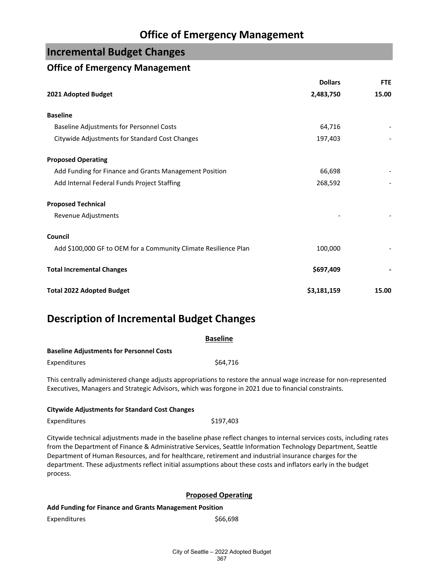### **Incremental Budget Changes**

#### **Office of Emergency Management**

|                                                                 | <b>Dollars</b> | <b>FTE</b> |
|-----------------------------------------------------------------|----------------|------------|
| 2021 Adopted Budget                                             | 2,483,750      | 15.00      |
| <b>Baseline</b>                                                 |                |            |
| <b>Baseline Adjustments for Personnel Costs</b>                 | 64,716         |            |
| Citywide Adjustments for Standard Cost Changes                  | 197,403        |            |
| <b>Proposed Operating</b>                                       |                |            |
| Add Funding for Finance and Grants Management Position          | 66,698         |            |
| Add Internal Federal Funds Project Staffing                     | 268,592        |            |
| <b>Proposed Technical</b>                                       |                |            |
| Revenue Adjustments                                             |                |            |
| Council                                                         |                |            |
| Add \$100,000 GF to OEM for a Community Climate Resilience Plan | 100,000        |            |
| <b>Total Incremental Changes</b>                                | \$697,409      |            |
| <b>Total 2022 Adopted Budget</b>                                | \$3,181,159    | 15.00      |

## **Description of Incremental Budget Changes**

| <b>Baseline</b>                                                                                      |                                                                                                                   |  |  |
|------------------------------------------------------------------------------------------------------|-------------------------------------------------------------------------------------------------------------------|--|--|
| <b>Baseline Adjustments for Personnel Costs</b>                                                      |                                                                                                                   |  |  |
| <b>Expenditures</b>                                                                                  | \$64,716                                                                                                          |  |  |
| Executives, Managers and Strategic Advisors, which was forgone in 2021 due to financial constraints. | This centrally administered change adjusts appropriations to restore the annual wage increase for non-represented |  |  |

| <b>Citywide Adjustments for Standard Cost Changes</b> |  |
|-------------------------------------------------------|--|

| Expenditures | \$197,403 |
|--------------|-----------|
|              |           |

Citywide technical adjustments made in the baseline phase reflect changes to internal services costs, including rates from the Department of Finance & Administrative Services, Seattle Information Technology Department, Seattle Department of Human Resources, and for healthcare, retirement and industrial insurance charges for the department. These adjustments reflect initial assumptions about these costs and inflators early in the budget process.

#### **Proposed Operating**

#### **Add Funding for Finance and Grants Management Position**

Expenditures \$66,698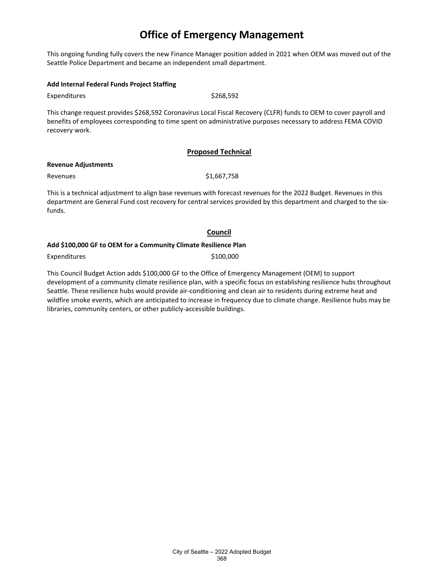This ongoing funding fully covers the new Finance Manager position added in 2021 when OEM was moved out of the Seattle Police Department and became an independent small department.

#### **Add Internal Federal Funds Project Staffing**

Expenditures \$268,592

This change request provides \$268,592 Coronavirus Local Fiscal Recovery (CLFR) funds to OEM to cover payroll and benefits of employees corresponding to time spent on administrative purposes necessary to address FEMA COVID recovery work.

#### **Proposed Technical**

#### **Revenue Adjustments**

Revenues \$1,667,758

This is a technical adjustment to align base revenues with forecast revenues for the 2022 Budget. Revenues in this department are General Fund cost recovery for central services provided by this department and charged to the sixfunds.

#### **Council**

#### **Add \$100,000 GF to OEM for a Community Climate Resilience Plan**

Expenditures \$100,000

This Council Budget Action adds \$100,000 GF to the Office of Emergency Management (OEM) to support development of a community climate resilience plan, with a specific focus on establishing resilience hubs throughout Seattle. These resilience hubs would provide air-conditioning and clean air to residents during extreme heat and wildfire smoke events, which are anticipated to increase in frequency due to climate change. Resilience hubs may be libraries, community centers, or other publicly-accessible buildings.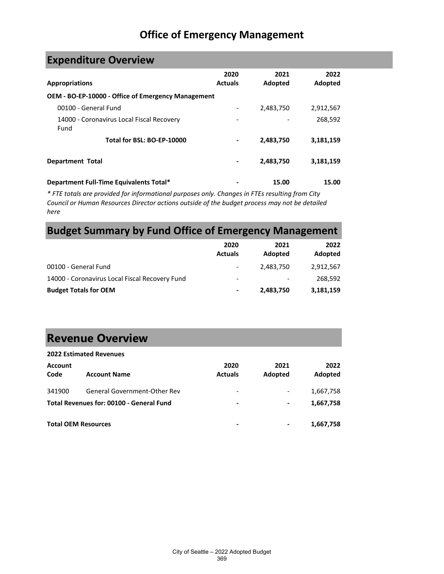# **Expenditure Overview**

| <b>Appropriations</b>                                     | 2020<br><b>Actuals</b> | 2021<br>Adopted | 2022<br>Adopted |
|-----------------------------------------------------------|------------------------|-----------------|-----------------|
| <b>OEM - BO-EP-10000 - Office of Emergency Management</b> |                        |                 |                 |
| 00100 - General Fund                                      |                        | 2,483,750       | 2,912,567       |
| 14000 - Coronavirus Local Fiscal Recovery<br>Fund         |                        |                 | 268,592         |
| Total for BSL: BO-EP-10000                                |                        | 2,483,750       | 3,181,159       |
| <b>Department Total</b>                                   | ۰                      | 2,483,750       | 3,181,159       |
| Department Full-Time Equivalents Total*                   |                        | 15.00           | 15.00           |

*\* FTE totals are provided for informational purposes only. Changes in FTEs resulting from City Council or Human Resources Director actions outside of the budget process may not be detailed here*

### **Budget Summary by Fund Office of Emergency Management**

|                                                | 2020<br><b>Actuals</b>   | 2021<br>Adopted | 2022<br>Adopted |
|------------------------------------------------|--------------------------|-----------------|-----------------|
| 00100 - General Fund                           | ۰                        | 2,483,750       | 2,912,567       |
| 14000 - Coronavirus Local Fiscal Recovery Fund | $\overline{\phantom{a}}$ | -               | 268,592         |
| <b>Budget Totals for OEM</b>                   | $\blacksquare$           | 2,483,750       | 3,181,159       |

# **Revenue Overview**

|                        | <b>2022 Estimated Revenues</b>           |                          |                              |                 |
|------------------------|------------------------------------------|--------------------------|------------------------------|-----------------|
| <b>Account</b><br>Code | <b>Account Name</b>                      | 2020<br><b>Actuals</b>   | 2021<br>Adopted              | 2022<br>Adopted |
| 341900                 | <b>General Government-Other Rev</b>      | -                        | $\qquad \qquad \blacksquare$ | 1,667,758       |
|                        | Total Revenues for: 00100 - General Fund | $\overline{\phantom{0}}$ | -                            | 1,667,758       |
|                        | <b>Total OEM Resources</b>               | $\overline{\phantom{0}}$ |                              | 1,667,758       |